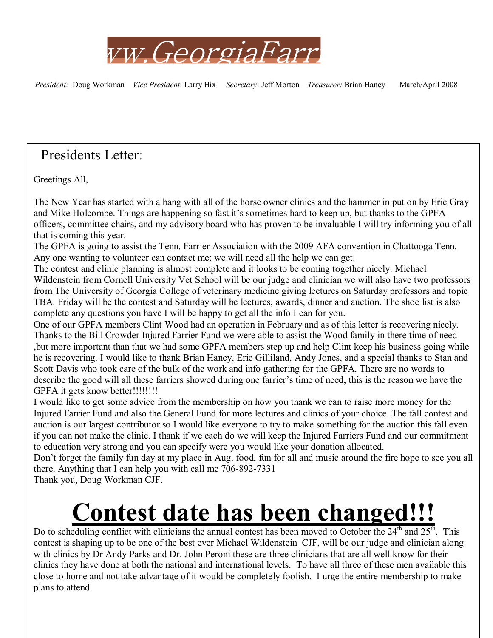

*President:* Doug Workman *Vice President*: Larry Hix *Secretary*: Jeff Morton *Treasurer:* Brian Haney March/April 2008

# Presidents Letter:

Greetings All,

The New Year has started with a bang with all of the horse owner clinics and the hammer in put on by Eric Gray and Mike Holcombe. Things are happening so fast it's sometimes hard to keep up, but thanks to the GPFA officers, committee chairs, and my advisory board who has proven to be invaluable I will try informing you of all that is coming this year.

The GPFA is going to assist the Tenn. Farrier Association with the 2009 AFA convention in Chattooga Tenn. Any one wanting to volunteer can contact me; we will need all the help we can get.

The contest and clinic planning is almost complete and it looks to be coming together nicely. Michael Wildenstein from Cornell University Vet School will be our judge and clinician we will also have two professors from The University of Georgia College of veterinary medicine giving lectures on Saturday professors and topic TBA. Friday will be the contest and Saturday will be lectures, awards, dinner and auction. The shoe list is also complete any questions you have I will be happy to get all the info I can for you.

One of our GPFA members Clint Wood had an operation in February and as of this letter is recovering nicely. Thanks to the Bill Crowder Injured Farrier Fund we were able to assist the Wood family in there time of need ,but more important than that we had some GPFA members step up and help Clint keep his business going while he is recovering. I would like to thank Brian Haney, Eric Gilliland, Andy Jones, and a special thanks to Stan and Scott Davis who took care of the bulk of the work and info gathering for the GPFA. There are no words to describe the good will all these farriers showed during one farrier's time of need, this is the reason we have the GPFA it gets know better!!!!!!!!!!

I would like to get some advice from the membership on how you thank we can to raise more money for the Injured Farrier Fund and also the General Fund for more lectures and clinics of your choice. The fall contest and auction is our largest contributor so I would like everyone to try to make something for the auction this fall even if you can not make the clinic. I thank if we each do we will keep the Injured Farriers Fund and our commitment to education very strong and you can specify were you would like your donation allocated.

Don't forget the family fun day at my place in Aug. food, fun for all and music around the fire hope to see you all there. Anything that I can help you with call me 706-892-7331

Thank you, Doug Workman CJF.

# **Contest date has been changed!!!**

Do to scheduling conflict with clinicians the annual contest has been moved to October the 24<sup>th</sup> and 25<sup>th</sup>. This contest is shaping up to be one of the best ever Michael Wildenstein CJF, will be our judge and clinician along with clinics by Dr Andy Parks and Dr. John Peroni these are three clinicians that are all well know for their clinics they have done at both the national and international levels. To have all three of these men available this close to home and not take advantage of it would be completely foolish. I urge the entire membership to make plans to attend.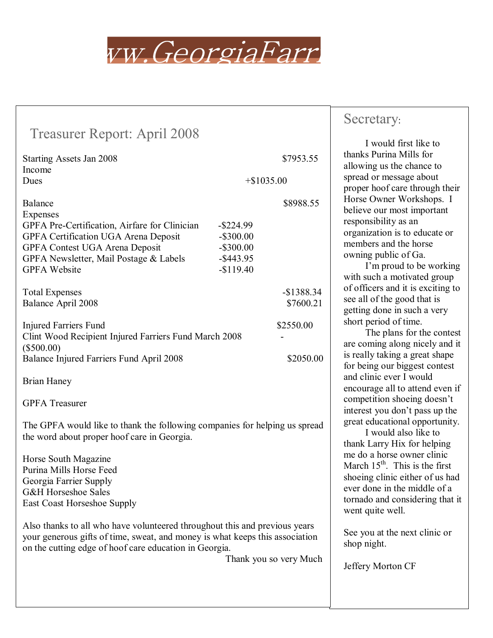

| <b>Treasurer Report: April 2008</b>                                                                                                                                                                                  |                                                                            |                          |  |
|----------------------------------------------------------------------------------------------------------------------------------------------------------------------------------------------------------------------|----------------------------------------------------------------------------|--------------------------|--|
| Starting Assets Jan 2008                                                                                                                                                                                             |                                                                            | \$7953.55                |  |
| Income<br>Dues                                                                                                                                                                                                       | $+$ \$1035.00                                                              |                          |  |
| Balance<br>Expenses<br>GPFA Pre-Certification, Airfare for Clinician<br>GPFA Certification UGA Arena Deposit<br>GPFA Contest UGA Arena Deposit<br>GPFA Newsletter, Mail Postage & Labels<br><b>GPFA Website</b>      | $-$ \$224.99<br>$-$ \$300.00<br>$-$ \$300.00<br>$-$ \$443.95<br>$-$119.40$ | \$8988.55                |  |
| <b>Total Expenses</b><br>Balance April 2008                                                                                                                                                                          |                                                                            | $-$1388.34$<br>\$7600.21 |  |
| \$2550.00<br><b>Injured Farriers Fund</b><br>Clint Wood Recipient Injured Farriers Fund March 2008<br>$(\$500.00)$<br>Balance Injured Farriers Fund April 2008<br>\$2050.00                                          |                                                                            |                          |  |
| <b>Brian Haney</b>                                                                                                                                                                                                   |                                                                            |                          |  |
| <b>GPFA</b> Treasurer                                                                                                                                                                                                |                                                                            |                          |  |
| The GPFA would like to thank the following companies for helping us spread<br>the word about proper hoof care in Georgia.                                                                                            |                                                                            |                          |  |
| Horse South Magazine<br>Purina Mills Horse Feed<br>Georgia Farrier Supply<br><b>G&amp;H</b> Horseshoe Sales<br><b>East Coast Horseshoe Supply</b>                                                                    |                                                                            |                          |  |
| Also thanks to all who have volunteered throughout this and previous years<br>your generous gifts of time, sweat, and money is what keeps this association<br>on the cutting edge of hoof care education in Georgia. |                                                                            | Thank you so very Much   |  |

### Secretary:

 I would first like to thanks Purina Mills for allowing us the chance to spread or message about proper hoof care through their Horse Owner Workshops. I believe our most important responsibility as an organization is to educate or members and the horse owning public of Ga.

I'm proud to be working with such a motivated group of officers and it is exciting to see all of the good that is getting done in such a very short period of time.

 The plans for the contest are coming along nicely and it is really taking a great shape for being our biggest contest and clinic ever I would encourage all to attend even if competition shoeing doesn't interest you don't pass up the great educational opportunity.

 I would also like to thank Larry Hix for helping me do a horse owner clinic March  $15<sup>th</sup>$ . This is the first shoeing clinic either of us had ever done in the middle of a tornado and considering that it went quite well.

See you at the next clinic or shop night.

Jeffery Morton CF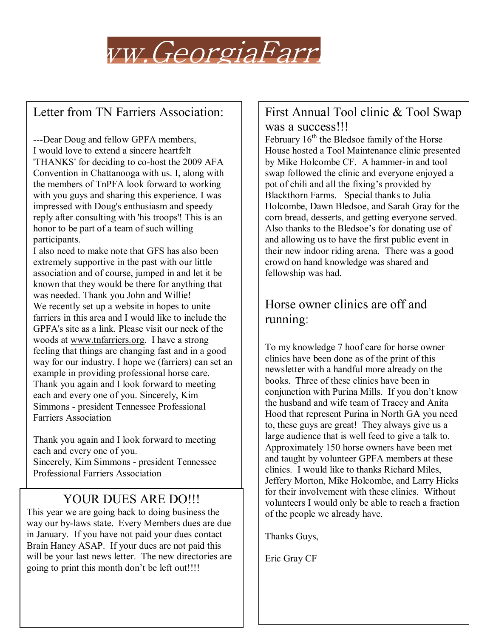

## Letter from TN Farriers Association:

---Dear Doug and fellow GPFA members, I would love to extend a sincere heartfelt 'THANKS' for deciding to co-host the 2009 AFA Convention in Chattanooga with us. I, along with the members of TnPFA look forward to working with you guys and sharing this experience. I was impressed with Doug's enthusiasm and speedy reply after consulting with 'his troops'! This is an honor to be part of a team of such willing participants.

I also need to make note that GFS has also been extremely supportive in the past with our little association and of course, jumped in and let it be known that they would be there for anything that was needed. Thank you John and Willie! We recently set up a website in hopes to unite farriers in this area and I would like to include the GPFA's site as a link. Please visit our neck of the woods at www.tnfarriers.org. I have a strong feeling that things are changing fast and in a good way for our industry. I hope we (farriers) can set an example in providing professional horse care. Thank you again and I look forward to meeting each and every one of you. Sincerely, Kim Simmons - president Tennessee Professional Farriers Association

Thank you again and I look forward to meeting each and every one of you. Sincerely, Kim Simmons - president Tennessee Professional Farriers Association

### YOUR DUES ARE DO!!!

This year we are going back to doing business the way our by-laws state. Every Members dues are due in January. If you have not paid your dues contact Brain Haney ASAP. If your dues are not paid this will be your last news letter. The new directories are going to print this month don't be left out!!!!

#### First Annual Tool clinic & Tool Swap was a success!!!

February  $16<sup>th</sup>$  the Bledsoe family of the Horse House hosted a Tool Maintenance clinic presented by Mike Holcombe CF. A hammer-in and tool swap followed the clinic and everyone enjoyed a pot of chili and all the fixing's provided by Blackthorn Farms. Special thanks to Julia Holcombe, Dawn Bledsoe, and Sarah Gray for the corn bread, desserts, and getting everyone served. Also thanks to the Bledsoe's for donating use of and allowing us to have the first public event in their new indoor riding arena. There was a good crowd on hand knowledge was shared and fellowship was had.

# Horse owner clinics are off and running:

To my knowledge 7 hoof care for horse owner clinics have been done as of the print of this newsletter with a handful more already on the books. Three of these clinics have been in conjunction with Purina Mills. If you don't know the husband and wife team of Tracey and Anita Hood that represent Purina in North GA you need to, these guys are great! They always give us a large audience that is well feed to give a talk to. Approximately 150 horse owners have been met and taught by volunteer GPFA members at these clinics. I would like to thanks Richard Miles, Jeffery Morton, Mike Holcombe, and Larry Hicks for their involvement with these clinics. Without volunteers I would only be able to reach a fraction of the people we already have.

Thanks Guys,

Eric Gray CF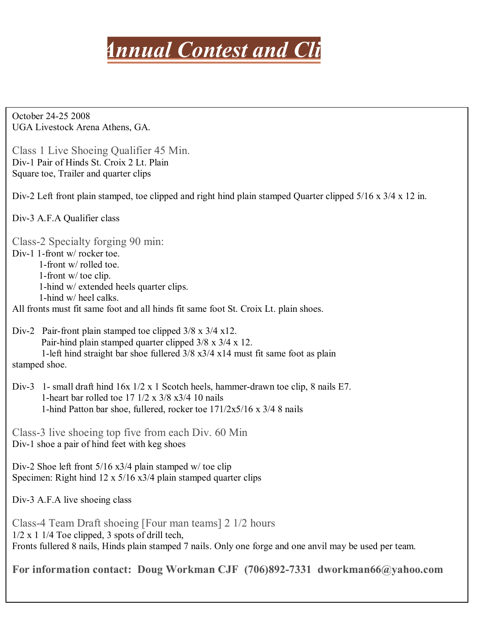

October 24-25 2008 UGA Livestock Arena Athens, GA.

Class 1 Live Shoeing Qualifier 45 Min. Div-1 Pair of Hinds St. Croix 2 Lt. Plain Square toe, Trailer and quarter clips

Div-2 Left front plain stamped, toe clipped and right hind plain stamped Quarter clipped 5/16 x 3/4 x 12 in.

Div-3 A.F.A Qualifier class

Class-2 Specialty forging 90 min:

Div-1 1-front w/ rocker toe.

 1-front w/ rolled toe. 1-front w/ toe clip. 1-hind w/ extended heels quarter clips. 1-hind w/ heel calks.

All fronts must fit same foot and all hinds fit same foot St. Croix Lt. plain shoes.

- Div-2 Pair-front plain stamped toe clipped  $3/8 \times 3/4 \times 12$ . Pair-hind plain stamped quarter clipped 3/8 x 3/4 x 12. 1-left hind straight bar shoe fullered 3/8 x3/4 x14 must fit same foot as plain stamped shoe.
- Div-3 1- small draft hind 16x 1/2 x 1 Scotch heels, hammer-drawn toe clip, 8 nails E7. 1-heart bar rolled toe 17 1/2 x 3/8 x3/4 10 nails 1-hind Patton bar shoe, fullered, rocker toe 171/2x5/16 x 3/4 8 nails

Class-3 live shoeing top five from each Div. 60 Min Div-1 shoe a pair of hind feet with keg shoes

Div-2 Shoe left front 5/16 x3/4 plain stamped w/ toe clip Specimen: Right hind 12 x 5/16 x3/4 plain stamped quarter clips

Div-3 A.F.A live shoeing class

Class-4 Team Draft shoeing [Four man teams] 2 1/2 hours 1/2 x 1 1/4 Toe clipped, 3 spots of drill tech, Fronts fullered 8 nails, Hinds plain stamped 7 nails. Only one forge and one anvil may be used per team.

**For information contact: Doug Workman CJF (706)892-7331 dworkman66@yahoo.com**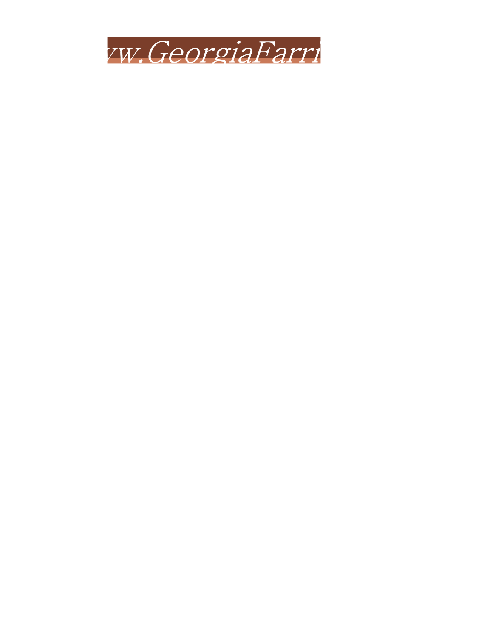